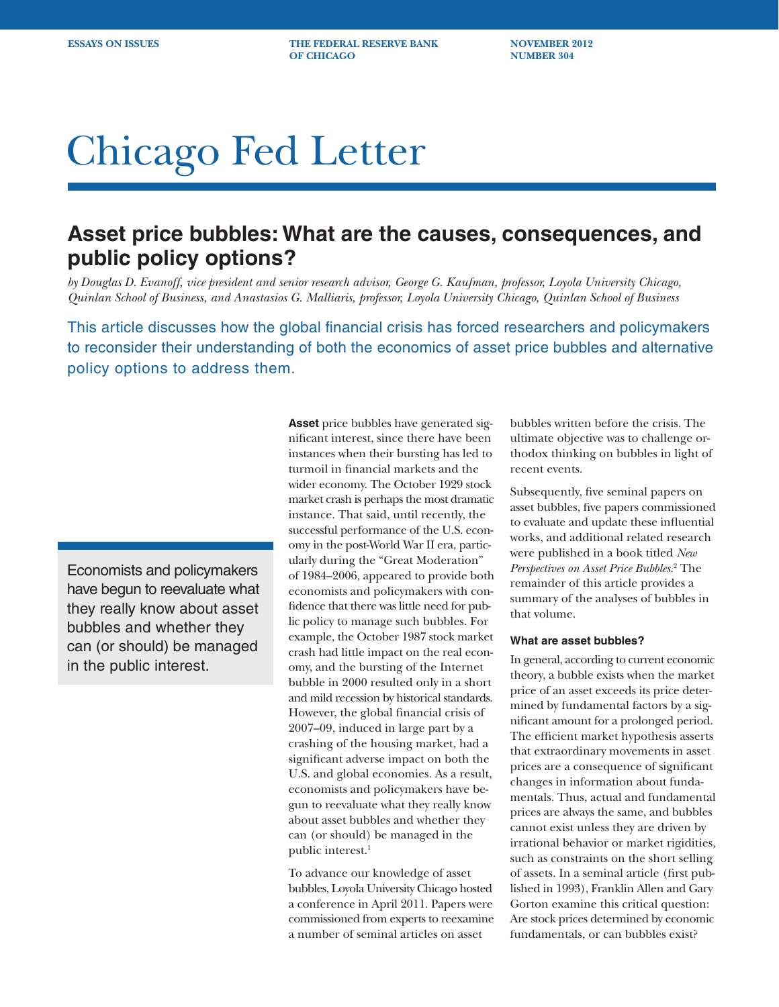**ESSAYS ON ISSUES THE FEDERAL RESERVE BANK MOVEMBER 2012 OF CHICAGO NUMBER 304** 

# Chicago Fed Letter

## **Asset price bubbles: What are the causes, consequences, and public policy options?**

*by Douglas D. Evanoff, vice president and senior research advisor, George G. Kaufman, professor, Loyola University Chicago, Quinlan School of Business, and Anastasios G. Malliaris, professor, Loyola University Chicago, Quinlan School of Business*

This article discusses how the global financial crisis has forced researchers and policymakers to reconsider their understanding of both the economics of asset price bubbles and alternative policy options to address them.

Economists and policymakers have begun to reevaluate what they really know about asset bubbles and whether they can (or should) be managed in the public interest.

**Asset** price bubbles have generated significant interest, since there have been instances when their bursting has led to turmoil in financial markets and the wider economy. The October 1929 stock market crash is perhaps the most dramatic instance. That said, until recently, the successful performance of the U.S. economy in the post-World War II era, particularly during the "Great Moderation" of 1984–2006, appeared to provide both economists and policymakers with confidence that there was little need for public policy to manage such bubbles. For example, the October 1987 stock market crash had little impact on the real economy, and the bursting of the Internet bubble in 2000 resulted only in a short and mild recession by historical standards. However, the global financial crisis of 2007–09, induced in large part by a crashing of the housing market, had a significant adverse impact on both the U.S. and global economies. As a result, economists and policymakers have begun to reevaluate what they really know about asset bubbles and whether they can (or should) be managed in the public interest.<sup>1</sup>

To advance our knowledge of asset bubbles, Loyola University Chicago hosted a conference in April 2011. Papers were commissioned from experts to reexamine a number of seminal articles on asset

bubbles written before the crisis. The ultimate objective was to challenge orthodox thinking on bubbles in light of recent events.

Subsequently, five seminal papers on asset bubbles, five papers commissioned to evaluate and update these influential works, and additional related research were published in a book titled *New Perspectives on Asset Price Bubbles*. 2 The remainder of this article provides a summary of the analyses of bubbles in that volume.

#### **What are asset bubbles?**

In general, according to current economic theory, a bubble exists when the market price of an asset exceeds its price determined by fundamental factors by a significant amount for a prolonged period. The efficient market hypothesis asserts that extraordinary movements in asset prices are a consequence of significant changes in information about fundamentals. Thus, actual and fundamental prices are always the same, and bubbles cannot exist unless they are driven by irrational behavior or market rigidities, such as constraints on the short selling of assets. In a seminal article (first published in 1993), Franklin Allen and Gary Gorton examine this critical question: Are stock prices determined by economic fundamentals, or can bubbles exist?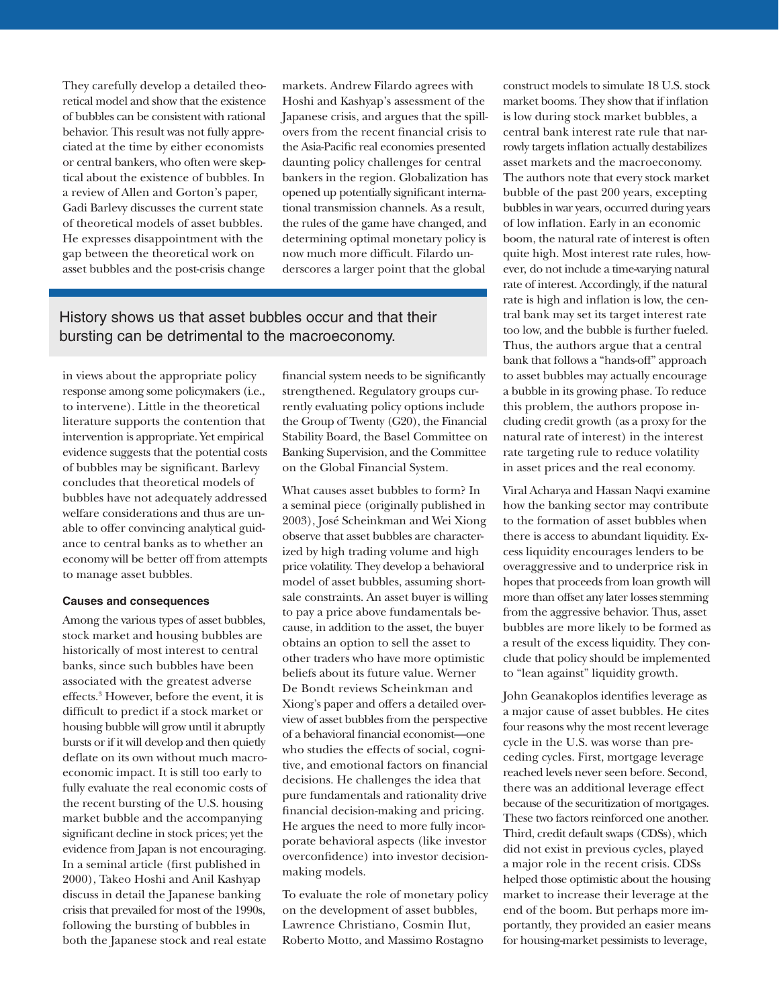They carefully develop a detailed theoretical model and show that the existence of bubbles can be consistent with rational behavior. This result was not fully appreciated at the time by either economists or central bankers, who often were skeptical about the existence of bubbles. In a review of Allen and Gorton's paper, Gadi Barlevy discusses the current state of theoretical models of asset bubbles. He expresses disappointment with the gap between the theoretical work on asset bubbles and the post-crisis change

markets. Andrew Filardo agrees with Hoshi and Kashyap's assessment of the Japanese crisis, and argues that the spillovers from the recent financial crisis to the Asia-Pacific real economies presented daunting policy challenges for central bankers in the region. Globalization has opened up potentially significant international transmission channels. As a result, the rules of the game have changed, and determining optimal monetary policy is now much more difficult. Filardo underscores a larger point that the global

### History shows us that asset bubbles occur and that their bursting can be detrimental to the macroeconomy.

in views about the appropriate policy response among some policymakers (i.e., to intervene). Little in the theoretical literature supports the contention that intervention is appropriate. Yet empirical evidence suggests that the potential costs of bubbles may be significant. Barlevy concludes that theoretical models of bubbles have not adequately addressed welfare considerations and thus are unable to offer convincing analytical guidance to central banks as to whether an economy will be better off from attempts to manage asset bubbles.

#### **Causes and consequences**

Among the various types of asset bubbles, stock market and housing bubbles are historically of most interest to central banks, since such bubbles have been associated with the greatest adverse effects.3 However, before the event, it is difficult to predict if a stock market or housing bubble will grow until it abruptly bursts or if it will develop and then quietly deflate on its own without much macroeconomic impact. It is still too early to fully evaluate the real economic costs of the recent bursting of the U.S. housing market bubble and the accompanying significant decline in stock prices; yet the evidence from Japan is not encouraging. In a seminal article (first published in 2000), Takeo Hoshi and Anil Kashyap discuss in detail the Japanese banking crisis that prevailed for most of the 1990s, following the bursting of bubbles in both the Japanese stock and real estate financial system needs to be significantly strengthened. Regulatory groups currently evaluating policy options include the Group of Twenty (G20), the Financial Stability Board, the Basel Committee on Banking Supervision, and the Committee on the Global Financial System.

What causes asset bubbles to form? In a seminal piece (originally published in 2003), José Scheinkman and Wei Xiong observe that asset bubbles are characterized by high trading volume and high price volatility. They develop a behavioral model of asset bubbles, assuming shortsale constraints. An asset buyer is willing to pay a price above fundamentals because, in addition to the asset, the buyer obtains an option to sell the asset to other traders who have more optimistic beliefs about its future value. Werner De Bondt reviews Scheinkman and Xiong's paper and offers a detailed overview of asset bubbles from the perspective of a behavioral financial economist—one who studies the effects of social, cognitive, and emotional factors on financial decisions. He challenges the idea that pure fundamentals and rationality drive financial decision-making and pricing. He argues the need to more fully incorporate behavioral aspects (like investor overconfidence) into investor decisionmaking models.

To evaluate the role of monetary policy on the development of asset bubbles, Lawrence Christiano, Cosmin Ilut, Roberto Motto, and Massimo Rostagno

construct models to simulate 18 U.S. stock market booms. They show that if inflation is low during stock market bubbles, a central bank interest rate rule that narrowly targets inflation actually destabilizes asset markets and the macroeconomy. The authors note that every stock market bubble of the past 200 years, excepting bubbles in war years, occurred during years of low inflation. Early in an economic boom, the natural rate of interest is often quite high. Most interest rate rules, however, do not include a time-varying natural rate of interest. Accordingly, if the natural rate is high and inflation is low, the central bank may set its target interest rate too low, and the bubble is further fueled. Thus, the authors argue that a central bank that follows a "hands-off" approach to asset bubbles may actually encourage a bubble in its growing phase. To reduce this problem, the authors propose including credit growth (as a proxy for the natural rate of interest) in the interest rate targeting rule to reduce volatility in asset prices and the real economy.

Viral Acharya and Hassan Naqvi examine how the banking sector may contribute to the formation of asset bubbles when there is access to abundant liquidity. Excess liquidity encourages lenders to be overaggressive and to underprice risk in hopes that proceeds from loan growth will more than offset any later losses stemming from the aggressive behavior. Thus, asset bubbles are more likely to be formed as a result of the excess liquidity. They conclude that policy should be implemented to "lean against" liquidity growth.

John Geanakoplos identifies leverage as a major cause of asset bubbles. He cites four reasons why the most recent leverage cycle in the U.S. was worse than preceding cycles. First, mortgage leverage reached levels never seen before. Second, there was an additional leverage effect because of the securitization of mortgages. These two factors reinforced one another. Third, credit default swaps (CDSs), which did not exist in previous cycles, played a major role in the recent crisis. CDSs helped those optimistic about the housing market to increase their leverage at the end of the boom. But perhaps more importantly, they provided an easier means for housing-market pessimists to leverage,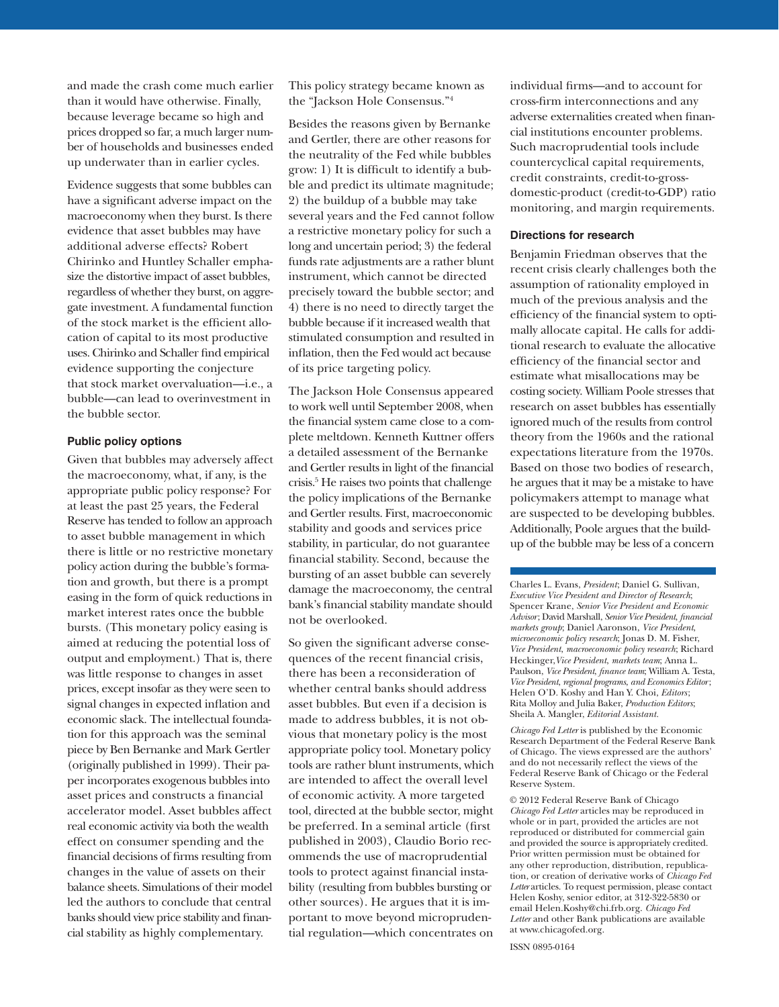and made the crash come much earlier than it would have otherwise. Finally, because leverage became so high and prices dropped so far, a much larger number of households and businesses ended up underwater than in earlier cycles.

Evidence suggests that some bubbles can have a significant adverse impact on the macroeconomy when they burst. Is there evidence that asset bubbles may have additional adverse effects? Robert Chirinko and Huntley Schaller emphasize the distortive impact of asset bubbles, regardless of whether they burst, on aggregate investment. A fundamental function of the stock market is the efficient allocation of capital to its most productive uses. Chirinko and Schaller find empirical evidence supporting the conjecture that stock market overvaluation—i.e., a bubble—can lead to overinvestment in the bubble sector.

#### **Public policy options**

Given that bubbles may adversely affect the macroeconomy, what, if any, is the appropriate public policy response? For at least the past 25 years, the Federal Reserve has tended to follow an approach to asset bubble management in which there is little or no restrictive monetary policy action during the bubble's formation and growth, but there is a prompt easing in the form of quick reductions in market interest rates once the bubble bursts. (This monetary policy easing is aimed at reducing the potential loss of output and employment.) That is, there was little response to changes in asset prices, except insofar as they were seen to signal changes in expected inflation and economic slack. The intellectual foundation for this approach was the seminal piece by Ben Bernanke and Mark Gertler (originally published in 1999). Their paper incorporates exogenous bubbles into asset prices and constructs a financial accelerator model. Asset bubbles affect real economic activity via both the wealth effect on consumer spending and the financial decisions of firms resulting from changes in the value of assets on their balance sheets. Simulations of their model led the authors to conclude that central banks should view price stability and financial stability as highly complementary.

This policy strategy became known as the "Jackson Hole Consensus."4

Besides the reasons given by Bernanke and Gertler, there are other reasons for the neutrality of the Fed while bubbles grow: 1) It is difficult to identify a bubble and predict its ultimate magnitude; 2) the buildup of a bubble may take several years and the Fed cannot follow a restrictive monetary policy for such a long and uncertain period; 3) the federal funds rate adjustments are a rather blunt instrument, which cannot be directed precisely toward the bubble sector; and 4) there is no need to directly target the bubble because if it increased wealth that stimulated consumption and resulted in inflation, then the Fed would act because of its price targeting policy.

The Jackson Hole Consensus appeared to work well until September 2008, when the financial system came close to a complete meltdown. Kenneth Kuttner offers a detailed assessment of the Bernanke and Gertler results in light of the financial crisis.5 He raises two points that challenge the policy implications of the Bernanke and Gertler results. First, macroeconomic stability and goods and services price stability, in particular, do not guarantee financial stability. Second, because the bursting of an asset bubble can severely damage the macroeconomy, the central bank's financial stability mandate should not be overlooked.

So given the significant adverse consequences of the recent financial crisis, there has been a reconsideration of whether central banks should address asset bubbles. But even if a decision is made to address bubbles, it is not obvious that monetary policy is the most appropriate policy tool. Monetary policy tools are rather blunt instruments, which are intended to affect the overall level of economic activity. A more targeted tool, directed at the bubble sector, might be preferred. In a seminal article (first published in 2003), Claudio Borio recommends the use of macroprudential tools to protect against financial instability (resulting from bubbles bursting or other sources). He argues that it is important to move beyond microprudential regulation—which concentrates on

individual firms—and to account for cross-firm interconnections and any adverse externalities created when financial institutions encounter problems. Such macroprudential tools include countercyclical capital requirements, credit constraints, credit-to-grossdomestic-product (credit-to-GDP) ratio monitoring, and margin requirements.

#### **Directions for research**

Benjamin Friedman observes that the recent crisis clearly challenges both the assumption of rationality employed in much of the previous analysis and the efficiency of the financial system to optimally allocate capital. He calls for additional research to evaluate the allocative efficiency of the financial sector and estimate what misallocations may be costing society. William Poole stresses that research on asset bubbles has essentially ignored much of the results from control theory from the 1960s and the rational expectations literature from the 1970s. Based on those two bodies of research, he argues that it may be a mistake to have policymakers attempt to manage what are suspected to be developing bubbles. Additionally, Poole argues that the buildup of the bubble may be less of a concern

Charles L. Evans, *President*; Daniel G. Sullivan, *Executive Vice President and Director of Research*; Spencer Krane, *Senior Vice President and Economic Advisor*; David Marshall, *Senior Vice President*, *financial markets group*; Daniel Aaronson, *Vice President*, *microeconomic policy research*; Jonas D. M. Fisher, *Vice President*, *macroeconomic policy research*; Richard Heckinger,*Vice President*, *markets team*; Anna L. Paulson, *Vice President*, *finance team*; William A. Testa, *Vice President*, *regional programs*, *and Economics Editor*; Helen O'D. Koshy and Han Y. Choi, *Editors* ; Rita Molloy and Julia Baker, *Production Editors*; Sheila A. Mangler, *Editorial Assistant.* 

*Chicago Fed Letter* is published by the Economic Research Department of the Federal Reserve Bank of Chicago. The views expressed are the authors' and do not necessarily reflect the views of the Federal Reserve Bank of Chicago or the Federal Reserve System.

© 2012 Federal Reserve Bank of Chicago *Chicago Fed Letter* articles may be reproduced in whole or in part, provided the articles are not reproduced or distributed for commercial gain and provided the source is appropriately credited. Prior written permission must be obtained for any other reproduction, distribution, republication, or creation of derivative works of *Chicago Fed Letter* articles. To request permission, please contact Helen Koshy, senior editor, at 312-322-5830 or email Helen.Koshy@chi.frb.org. *Chicago Fed Letter* and other Bank publications are available at www.chicagofed.org.

ISSN 0895-0164